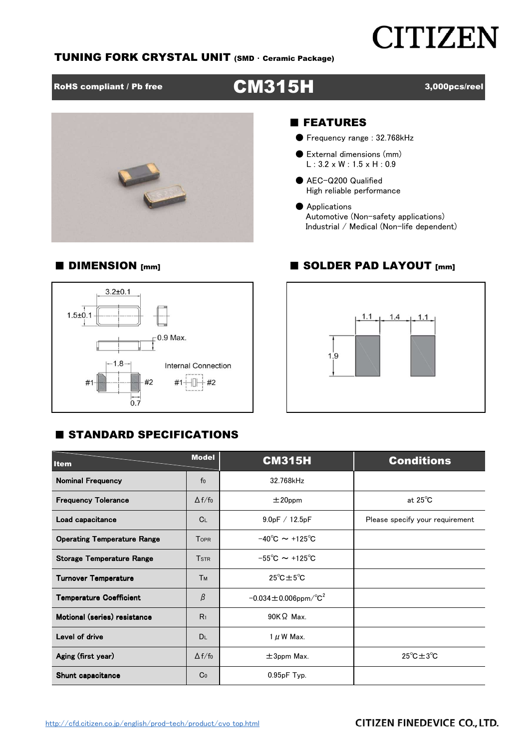# **CITIZEN**

### TUNING FORK CRYSTAL UNIT (SMD ・ Ceramic Package)

### RoHS compliant / Pb free **CM315H** 3,000pcs/reel



### ■ FEATURES

- Frequency range : 32.768kHz
- External dimensions (mm)  $L: 3.2 \times W: 1.5 \times H: 0.9$
- AEC-Q200 Qualified High reliable performance
- Applications Automotive (Non-safety applications) Industrial / Medical (Non-life dependent)

### ■ DIMENSION [mm] ■ SOLDER PAD LAYOUT [mm]



### $1.1$  $1.4$  $-1 - 1.1$  $1.9$

### **E STANDARD SPECIFICATIONS**

| <b>Item</b>                        | <b>Model</b>            | <b>CM315H</b>                            | <b>Conditions</b>                   |
|------------------------------------|-------------------------|------------------------------------------|-------------------------------------|
| <b>Nominal Frequency</b>           | f <sub>0</sub>          | 32.768kHz                                |                                     |
| <b>Frequency Tolerance</b>         | $\Delta f/f_0$          | $±20$ ppm                                | at $25^{\circ}$ C                   |
| Load capacitance                   | C <sub>L</sub>          | 9.0pF / 12.5pF                           | Please specify your requirement     |
| <b>Operating Temperature Range</b> | <b>TOPR</b>             | $-40^{\circ}$ C $\sim$ +125 $^{\circ}$ C |                                     |
| <b>Storage Temperature Range</b>   | <b>T</b> <sub>STR</sub> | $-55^{\circ}$ C $\sim$ +125 $^{\circ}$ C |                                     |
| <b>Turnover Temperature</b>        | <b>Тм</b>               | $25^{\circ}$ C $\pm 5^{\circ}$ C         |                                     |
| <b>Temperature Coefficient</b>     | β                       | $-0.034 \pm 0.006$ ppm/ $°C^2$           |                                     |
| Motional (series) resistance       | R <sub>1</sub>          | $90K\Omega$ Max.                         |                                     |
| Level of drive                     | <b>DL</b>               | $1 \mu$ W Max.                           |                                     |
| Aging (first year)                 | $\Delta f/f_0$          | $\pm 3$ ppm Max.                         | $25^{\circ}$ C $\pm$ 3 $^{\circ}$ C |
| Shunt capacitance                  | Co                      | $0.95pF$ Typ.                            |                                     |